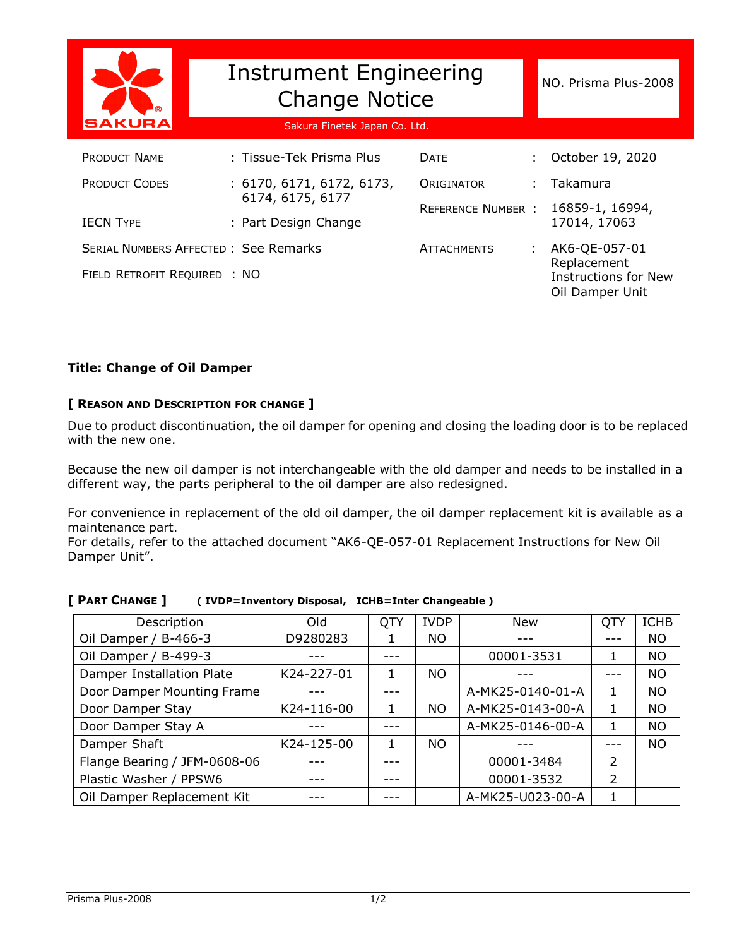|                                             | <b>Instrument Engineering</b><br><b>Change Notice</b> |                          |    | NO. Prisma Plus-2008                                          |  |
|---------------------------------------------|-------------------------------------------------------|--------------------------|----|---------------------------------------------------------------|--|
| <b>ISAKURA</b>                              | Sakura Finetek Japan Co. Ltd.                         |                          |    |                                                               |  |
| <b>PRODUCT NAME</b>                         | : Tissue-Tek Prisma Plus                              | <b>DATE</b>              | ÷. | October 19, 2020                                              |  |
| <b>PRODUCT CODES</b>                        | : 6170, 6171, 6172, 6173,                             | ORIGINATOR               |    | Takamura                                                      |  |
|                                             | 6174, 6175, 6177                                      | <b>REFERENCE NUMBER:</b> |    | 16859-1, 16994,                                               |  |
| <b>IECN TYPE</b>                            | : Part Design Change                                  |                          |    | 17014, 17063                                                  |  |
| <b>SERIAL NUMBERS AFFECTED: See Remarks</b> |                                                       | <b>ATTACHMENTS</b>       |    | AK6-QE-057-01                                                 |  |
| FIELD RETROFIT REQUIRED : NO                |                                                       |                          |    | Replacement<br><b>Instructions for New</b><br>Oil Damper Unit |  |

## **Title: Change of Oil Damper**

## **[ REASON AND DESCRIPTION FOR CHANGE ]**

Due to product discontinuation, the oil damper for opening and closing the loading door is to be replaced with the new one.

Because the new oil damper is not interchangeable with the old damper and needs to be installed in a different way, the parts peripheral to the oil damper are also redesigned.

For convenience in replacement of the old oil damper, the oil damper replacement kit is available as a maintenance part.

For details, refer to the attached document "AK6-QE-057-01 Replacement Instructions for New Oil Damper Unit".

| Description                  | Old        | QTY | <b>IVDP</b> | New              | QTY | <b>ICHB</b> |
|------------------------------|------------|-----|-------------|------------------|-----|-------------|
| Oil Damper / B-466-3         | D9280283   |     | <b>NO</b>   |                  |     | <b>NO</b>   |
| Oil Damper / B-499-3         |            |     |             | 00001-3531       | 1   | NO.         |
| Damper Installation Plate    | K24-227-01 |     | NO.         |                  |     | <b>NO</b>   |
| Door Damper Mounting Frame   |            |     |             | A-MK25-0140-01-A | 1.  | <b>NO</b>   |
| Door Damper Stay             | K24-116-00 | 1   | <b>NO</b>   | A-MK25-0143-00-A | 1   | <b>NO</b>   |
| Door Damper Stay A           |            |     |             | A-MK25-0146-00-A |     | <b>NO</b>   |
| Damper Shaft                 | K24-125-00 | 1.  | NO.         |                  |     | <b>NO</b>   |
| Flange Bearing / JFM-0608-06 |            |     |             | 00001-3484       | 2   |             |
| Plastic Washer / PPSW6       |            |     |             | 00001-3532       | 2   |             |
| Oil Damper Replacement Kit   |            |     |             | A-MK25-U023-00-A |     |             |

**[ PART CHANGE ] ( IVDP=Inventory Disposal, ICHB=Inter Changeable )**